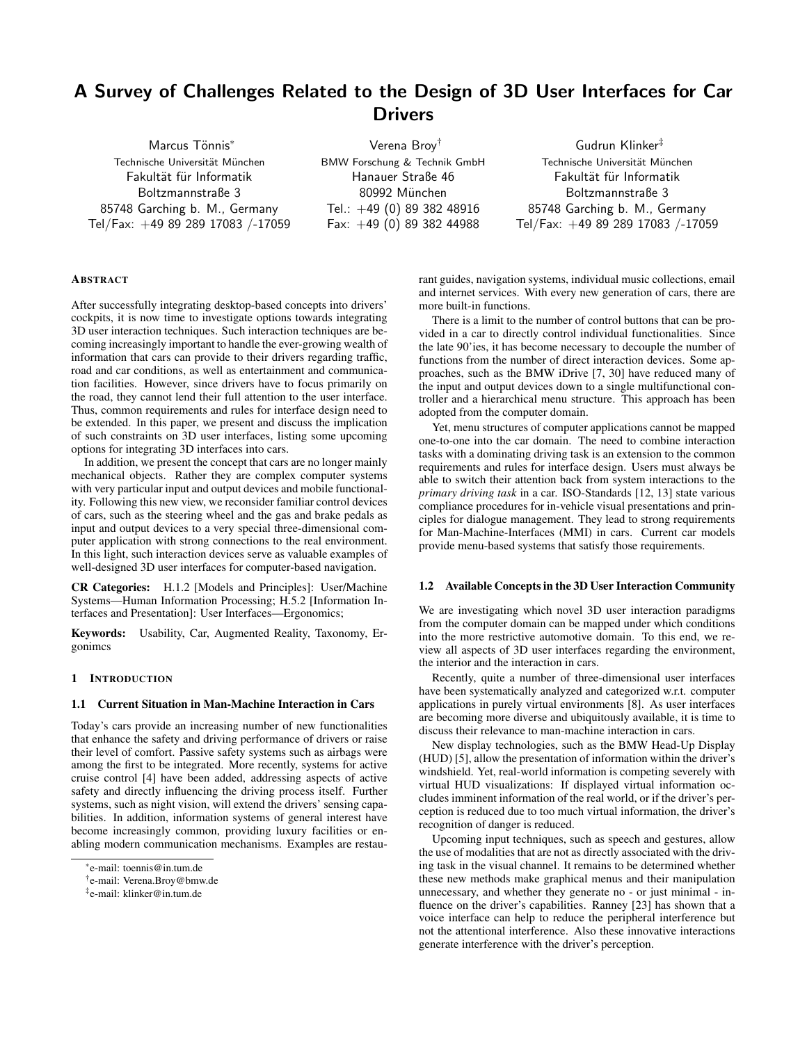# A Survey of Challenges Related to the Design of 3D User Interfaces for Car **Drivers**

Marcus Tönnis<sup>\*</sup> Technische Universität München Fakultät für Informatik Boltzmannstraße 3 85748 Garching b. M., Germany Tel/Fax: +49 89 289 17083 /-17059

Verena Broy† BMW Forschung & Technik GmbH Hanauer Straße 46 80992 München Tel.: +49 (0) 89 382 48916 Fax: +49 (0) 89 382 44988

Gudrun Klinker‡ Technische Universität München Fakultät für Informatik Boltzmannstraße 3 85748 Garching b. M., Germany Tel/Fax: +49 89 289 17083 /-17059

# **ABSTRACT**

After successfully integrating desktop-based concepts into drivers' cockpits, it is now time to investigate options towards integrating 3D user interaction techniques. Such interaction techniques are becoming increasingly important to handle the ever-growing wealth of information that cars can provide to their drivers regarding traffic, road and car conditions, as well as entertainment and communication facilities. However, since drivers have to focus primarily on the road, they cannot lend their full attention to the user interface. Thus, common requirements and rules for interface design need to be extended. In this paper, we present and discuss the implication of such constraints on 3D user interfaces, listing some upcoming options for integrating 3D interfaces into cars.

In addition, we present the concept that cars are no longer mainly mechanical objects. Rather they are complex computer systems with very particular input and output devices and mobile functionality. Following this new view, we reconsider familiar control devices of cars, such as the steering wheel and the gas and brake pedals as input and output devices to a very special three-dimensional computer application with strong connections to the real environment. In this light, such interaction devices serve as valuable examples of well-designed 3D user interfaces for computer-based navigation.

CR Categories: H.1.2 [Models and Principles]: User/Machine Systems—Human Information Processing; H.5.2 [Information Interfaces and Presentation]: User Interfaces—Ergonomics;

Keywords: Usability, Car, Augmented Reality, Taxonomy, Ergonimcs

#### 1 INTRODUCTION

## 1.1 Current Situation in Man-Machine Interaction in Cars

Today's cars provide an increasing number of new functionalities that enhance the safety and driving performance of drivers or raise their level of comfort. Passive safety systems such as airbags were among the first to be integrated. More recently, systems for active cruise control [4] have been added, addressing aspects of active safety and directly influencing the driving process itself. Further systems, such as night vision, will extend the drivers' sensing capabilities. In addition, information systems of general interest have become increasingly common, providing luxury facilities or enabling modern communication mechanisms. Examples are restaurant guides, navigation systems, individual music collections, email and internet services. With every new generation of cars, there are more built-in functions.

There is a limit to the number of control buttons that can be provided in a car to directly control individual functionalities. Since the late 90'ies, it has become necessary to decouple the number of functions from the number of direct interaction devices. Some approaches, such as the BMW iDrive [7, 30] have reduced many of the input and output devices down to a single multifunctional controller and a hierarchical menu structure. This approach has been adopted from the computer domain.

Yet, menu structures of computer applications cannot be mapped one-to-one into the car domain. The need to combine interaction tasks with a dominating driving task is an extension to the common requirements and rules for interface design. Users must always be able to switch their attention back from system interactions to the *primary driving task* in a car. ISO-Standards [12, 13] state various compliance procedures for in-vehicle visual presentations and principles for dialogue management. They lead to strong requirements for Man-Machine-Interfaces (MMI) in cars. Current car models provide menu-based systems that satisfy those requirements.

#### 1.2 Available Concepts in the 3D User Interaction Community

We are investigating which novel 3D user interaction paradigms from the computer domain can be mapped under which conditions into the more restrictive automotive domain. To this end, we review all aspects of 3D user interfaces regarding the environment, the interior and the interaction in cars.

Recently, quite a number of three-dimensional user interfaces have been systematically analyzed and categorized w.r.t. computer applications in purely virtual environments [8]. As user interfaces are becoming more diverse and ubiquitously available, it is time to discuss their relevance to man-machine interaction in cars.

New display technologies, such as the BMW Head-Up Display (HUD) [5], allow the presentation of information within the driver's windshield. Yet, real-world information is competing severely with virtual HUD visualizations: If displayed virtual information occludes imminent information of the real world, or if the driver's perception is reduced due to too much virtual information, the driver's recognition of danger is reduced.

Upcoming input techniques, such as speech and gestures, allow the use of modalities that are not as directly associated with the driving task in the visual channel. It remains to be determined whether these new methods make graphical menus and their manipulation unnecessary, and whether they generate no - or just minimal - influence on the driver's capabilities. Ranney [23] has shown that a voice interface can help to reduce the peripheral interference but not the attentional interference. Also these innovative interactions generate interference with the driver's perception.

<sup>∗</sup> e-mail: toennis@in.tum.de

<sup>†</sup> e-mail: Verena.Broy@bmw.de

<sup>‡</sup> e-mail: klinker@in.tum.de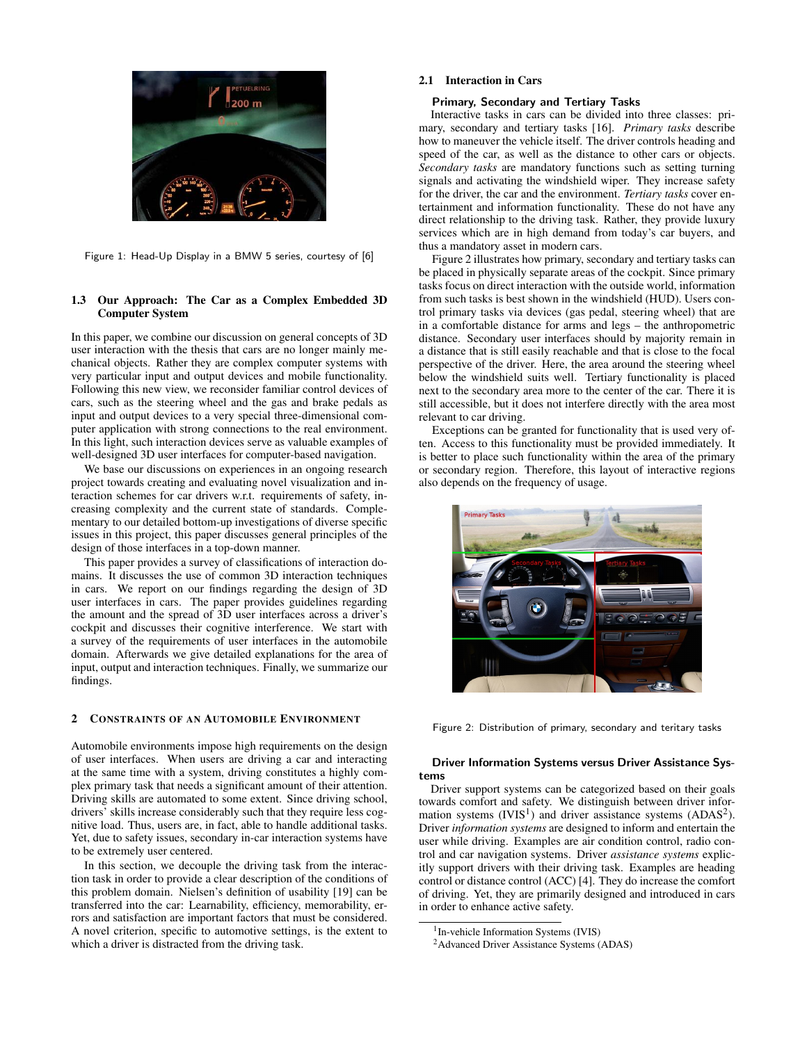

Figure 1: Head-Up Display in a BMW 5 series, courtesy of [6]

# 1.3 Our Approach: The Car as a Complex Embedded 3D Computer System

In this paper, we combine our discussion on general concepts of 3D user interaction with the thesis that cars are no longer mainly mechanical objects. Rather they are complex computer systems with very particular input and output devices and mobile functionality. Following this new view, we reconsider familiar control devices of cars, such as the steering wheel and the gas and brake pedals as input and output devices to a very special three-dimensional computer application with strong connections to the real environment. In this light, such interaction devices serve as valuable examples of well-designed 3D user interfaces for computer-based navigation.

We base our discussions on experiences in an ongoing research project towards creating and evaluating novel visualization and interaction schemes for car drivers w.r.t. requirements of safety, increasing complexity and the current state of standards. Complementary to our detailed bottom-up investigations of diverse specific issues in this project, this paper discusses general principles of the design of those interfaces in a top-down manner.

This paper provides a survey of classifications of interaction domains. It discusses the use of common 3D interaction techniques in cars. We report on our findings regarding the design of 3D user interfaces in cars. The paper provides guidelines regarding the amount and the spread of 3D user interfaces across a driver's cockpit and discusses their cognitive interference. We start with a survey of the requirements of user interfaces in the automobile domain. Afterwards we give detailed explanations for the area of input, output and interaction techniques. Finally, we summarize our findings.

#### 2 CONSTRAINTS OF AN AUTOMOBILE ENVIRONMENT

Automobile environments impose high requirements on the design of user interfaces. When users are driving a car and interacting at the same time with a system, driving constitutes a highly complex primary task that needs a significant amount of their attention. Driving skills are automated to some extent. Since driving school, drivers' skills increase considerably such that they require less cognitive load. Thus, users are, in fact, able to handle additional tasks. Yet, due to safety issues, secondary in-car interaction systems have to be extremely user centered.

In this section, we decouple the driving task from the interaction task in order to provide a clear description of the conditions of this problem domain. Nielsen's definition of usability [19] can be transferred into the car: Learnability, efficiency, memorability, errors and satisfaction are important factors that must be considered. A novel criterion, specific to automotive settings, is the extent to which a driver is distracted from the driving task.

# 2.1 Interaction in Cars

# Primary, Secondary and Tertiary Tasks

Interactive tasks in cars can be divided into three classes: primary, secondary and tertiary tasks [16]. *Primary tasks* describe how to maneuver the vehicle itself. The driver controls heading and speed of the car, as well as the distance to other cars or objects. *Secondary tasks* are mandatory functions such as setting turning signals and activating the windshield wiper. They increase safety for the driver, the car and the environment. *Tertiary tasks* cover entertainment and information functionality. These do not have any direct relationship to the driving task. Rather, they provide luxury services which are in high demand from today's car buyers, and thus a mandatory asset in modern cars.

Figure 2 illustrates how primary, secondary and tertiary tasks can be placed in physically separate areas of the cockpit. Since primary tasks focus on direct interaction with the outside world, information from such tasks is best shown in the windshield (HUD). Users control primary tasks via devices (gas pedal, steering wheel) that are in a comfortable distance for arms and legs – the anthropometric distance. Secondary user interfaces should by majority remain in a distance that is still easily reachable and that is close to the focal perspective of the driver. Here, the area around the steering wheel below the windshield suits well. Tertiary functionality is placed next to the secondary area more to the center of the car. There it is still accessible, but it does not interfere directly with the area most relevant to car driving.

Exceptions can be granted for functionality that is used very often. Access to this functionality must be provided immediately. It is better to place such functionality within the area of the primary or secondary region. Therefore, this layout of interactive regions also depends on the frequency of usage.



Figure 2: Distribution of primary, secondary and teritary tasks

## Driver Information Systems versus Driver Assistance Systems

Driver support systems can be categorized based on their goals towards comfort and safety. We distinguish between driver information systems  $(IVIS<sup>1</sup>)$  and driver assistance systems  $(ADAS<sup>2</sup>)$ . Driver *information systems* are designed to inform and entertain the user while driving. Examples are air condition control, radio control and car navigation systems. Driver *assistance systems* explicitly support drivers with their driving task. Examples are heading control or distance control (ACC) [4]. They do increase the comfort of driving. Yet, they are primarily designed and introduced in cars in order to enhance active safety.

<sup>&</sup>lt;sup>1</sup> In-vehicle Information Systems (IVIS)

<sup>2</sup>Advanced Driver Assistance Systems (ADAS)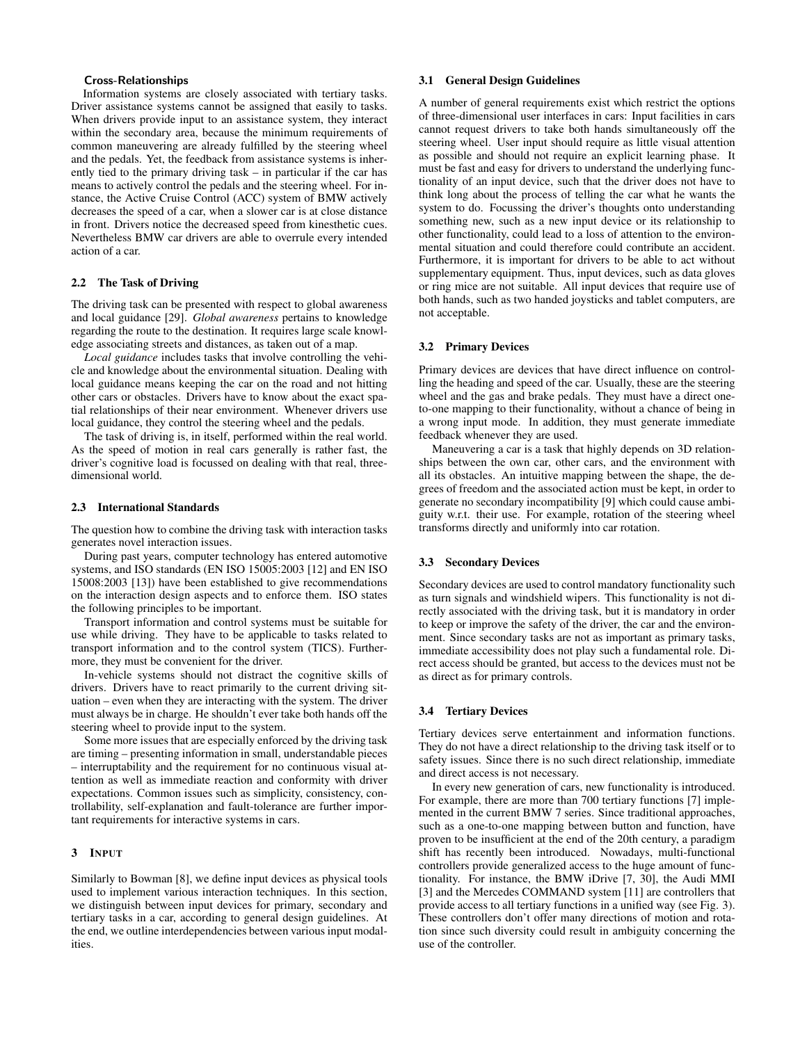# Cross-Relationships

Information systems are closely associated with tertiary tasks. Driver assistance systems cannot be assigned that easily to tasks. When drivers provide input to an assistance system, they interact within the secondary area, because the minimum requirements of common maneuvering are already fulfilled by the steering wheel and the pedals. Yet, the feedback from assistance systems is inherently tied to the primary driving task – in particular if the car has means to actively control the pedals and the steering wheel. For instance, the Active Cruise Control (ACC) system of BMW actively decreases the speed of a car, when a slower car is at close distance in front. Drivers notice the decreased speed from kinesthetic cues. Nevertheless BMW car drivers are able to overrule every intended action of a car.

## 2.2 The Task of Driving

The driving task can be presented with respect to global awareness and local guidance [29]. *Global awareness* pertains to knowledge regarding the route to the destination. It requires large scale knowledge associating streets and distances, as taken out of a map.

*Local guidance* includes tasks that involve controlling the vehicle and knowledge about the environmental situation. Dealing with local guidance means keeping the car on the road and not hitting other cars or obstacles. Drivers have to know about the exact spatial relationships of their near environment. Whenever drivers use local guidance, they control the steering wheel and the pedals.

The task of driving is, in itself, performed within the real world. As the speed of motion in real cars generally is rather fast, the driver's cognitive load is focussed on dealing with that real, threedimensional world.

#### 2.3 International Standards

The question how to combine the driving task with interaction tasks generates novel interaction issues.

During past years, computer technology has entered automotive systems, and ISO standards (EN ISO 15005:2003 [12] and EN ISO 15008:2003 [13]) have been established to give recommendations on the interaction design aspects and to enforce them. ISO states the following principles to be important.

Transport information and control systems must be suitable for use while driving. They have to be applicable to tasks related to transport information and to the control system (TICS). Furthermore, they must be convenient for the driver.

In-vehicle systems should not distract the cognitive skills of drivers. Drivers have to react primarily to the current driving situation – even when they are interacting with the system. The driver must always be in charge. He shouldn't ever take both hands off the steering wheel to provide input to the system.

Some more issues that are especially enforced by the driving task are timing – presenting information in small, understandable pieces – interruptability and the requirement for no continuous visual attention as well as immediate reaction and conformity with driver expectations. Common issues such as simplicity, consistency, controllability, self-explanation and fault-tolerance are further important requirements for interactive systems in cars.

## 3 INPUT

Similarly to Bowman [8], we define input devices as physical tools used to implement various interaction techniques. In this section, we distinguish between input devices for primary, secondary and tertiary tasks in a car, according to general design guidelines. At the end, we outline interdependencies between various input modalities.

## 3.1 General Design Guidelines

A number of general requirements exist which restrict the options of three-dimensional user interfaces in cars: Input facilities in cars cannot request drivers to take both hands simultaneously off the steering wheel. User input should require as little visual attention as possible and should not require an explicit learning phase. It must be fast and easy for drivers to understand the underlying functionality of an input device, such that the driver does not have to think long about the process of telling the car what he wants the system to do. Focussing the driver's thoughts onto understanding something new, such as a new input device or its relationship to other functionality, could lead to a loss of attention to the environmental situation and could therefore could contribute an accident. Furthermore, it is important for drivers to be able to act without supplementary equipment. Thus, input devices, such as data gloves or ring mice are not suitable. All input devices that require use of both hands, such as two handed joysticks and tablet computers, are not acceptable.

#### 3.2 Primary Devices

Primary devices are devices that have direct influence on controlling the heading and speed of the car. Usually, these are the steering wheel and the gas and brake pedals. They must have a direct oneto-one mapping to their functionality, without a chance of being in a wrong input mode. In addition, they must generate immediate feedback whenever they are used.

Maneuvering a car is a task that highly depends on 3D relationships between the own car, other cars, and the environment with all its obstacles. An intuitive mapping between the shape, the degrees of freedom and the associated action must be kept, in order to generate no secondary incompatibility [9] which could cause ambiguity w.r.t. their use. For example, rotation of the steering wheel transforms directly and uniformly into car rotation.

### 3.3 Secondary Devices

Secondary devices are used to control mandatory functionality such as turn signals and windshield wipers. This functionality is not directly associated with the driving task, but it is mandatory in order to keep or improve the safety of the driver, the car and the environment. Since secondary tasks are not as important as primary tasks, immediate accessibility does not play such a fundamental role. Direct access should be granted, but access to the devices must not be as direct as for primary controls.

## 3.4 Tertiary Devices

Tertiary devices serve entertainment and information functions. They do not have a direct relationship to the driving task itself or to safety issues. Since there is no such direct relationship, immediate and direct access is not necessary.

In every new generation of cars, new functionality is introduced. For example, there are more than 700 tertiary functions [7] implemented in the current BMW 7 series. Since traditional approaches, such as a one-to-one mapping between button and function, have proven to be insufficient at the end of the 20th century, a paradigm shift has recently been introduced. Nowadays, multi-functional controllers provide generalized access to the huge amount of functionality. For instance, the BMW iDrive [7, 30], the Audi MMI [3] and the Mercedes COMMAND system [11] are controllers that provide access to all tertiary functions in a unified way (see Fig. 3). These controllers don't offer many directions of motion and rotation since such diversity could result in ambiguity concerning the use of the controller.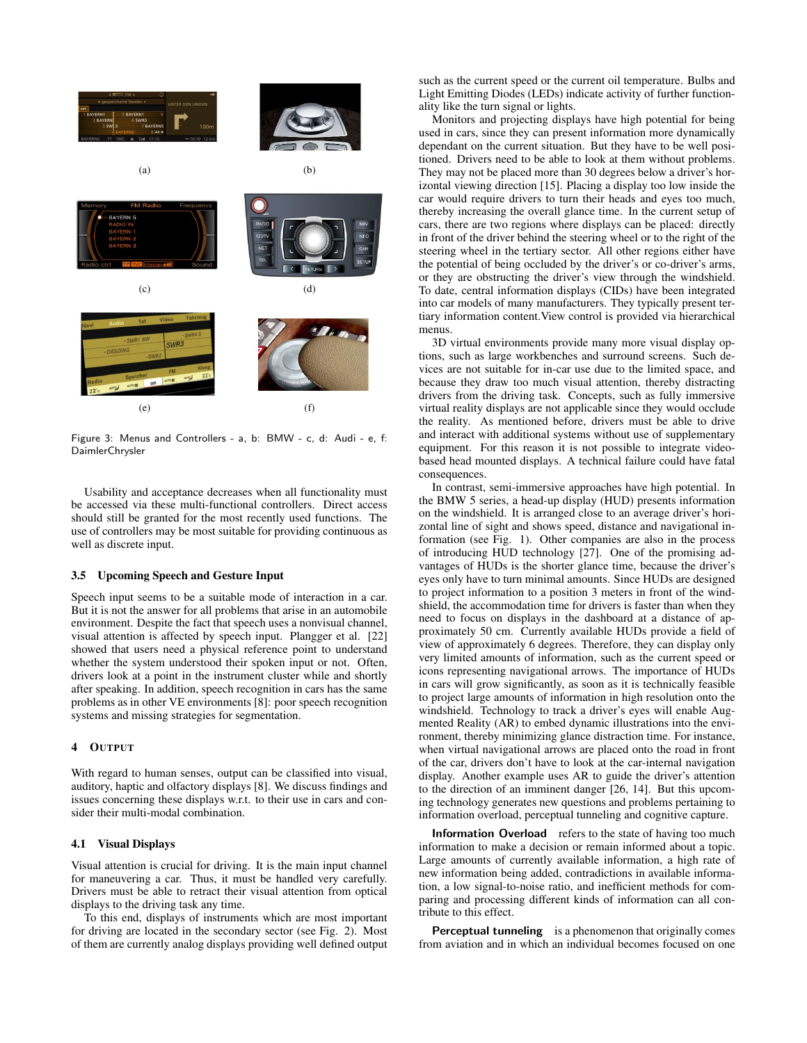

Figure 3: Menus and Controllers - a, b: BMW - c, d: Audi - e, f: DaimlerChrysler

Usability and acceptance decreases when all functionality must be accessed via these multi-functional controllers. Direct access should still be granted for the most recently used functions. The use of controllers may be most suitable for providing continuous as well as discrete input.

#### 3.5 Upcoming Speech and Gesture Input

Speech input seems to be a suitable mode of interaction in a car. But it is not the answer for all problems that arise in an automobile environment. Despite the fact that speech uses a nonvisual channel, visual attention is affected by speech input. Plangger et al. [22] showed that users need a physical reference point to understand whether the system understood their spoken input or not. Often, drivers look at a point in the instrument cluster while and shortly after speaking. In addition, speech recognition in cars has the same problems as in other VE environments [8]: poor speech recognition systems and missing strategies for segmentation.

# 4 OUTPUT

With regard to human senses, output can be classified into visual, auditory, haptic and olfactory displays [8]. We discuss findings and issues concerning these displays w.r.t. to their use in cars and consider their multi-modal combination.

## 4.1 Visual Displays

Visual attention is crucial for driving. It is the main input channel for maneuvering a car. Thus, it must be handled very carefully. Drivers must be able to retract their visual attention from optical displays to the driving task any time.

To this end, displays of instruments which are most important for driving are located in the secondary sector (see Fig. 2). Most of them are currently analog displays providing well defined output such as the current speed or the current oil temperature. Bulbs and Light Emitting Diodes (LEDs) indicate activity of further functionality like the turn signal or lights.

Monitors and projecting displays have high potential for being used in cars, since they can present information more dynamically dependant on the current situation. But they have to be well positioned. Drivers need to be able to look at them without problems. They may not be placed more than 30 degrees below a driver's horizontal viewing direction [15]. Placing a display too low inside the car would require drivers to turn their heads and eyes too much, thereby increasing the overall glance time. In the current setup of cars, there are two regions where displays can be placed: directly in front of the driver behind the steering wheel or to the right of the steering wheel in the tertiary sector. All other regions either have the potential of being occluded by the driver's or co-driver's arms, or they are obstructing the driver's view through the windshield. To date, central information displays (CIDs) have been integrated into car models of many manufacturers. They typically present tertiary information content.View control is provided via hierarchical menus.

3D virtual environments provide many more visual display options, such as large workbenches and surround screens. Such devices are not suitable for in-car use due to the limited space, and because they draw too much visual attention, thereby distracting drivers from the driving task. Concepts, such as fully immersive virtual reality displays are not applicable since they would occlude the reality. As mentioned before, drivers must be able to drive and interact with additional systems without use of supplementary equipment. For this reason it is not possible to integrate videobased head mounted displays. A technical failure could have fatal consequences.

In contrast, semi-immersive approaches have high potential. In the BMW 5 series, a head-up display (HUD) presents information on the windshield. It is arranged close to an average driver's horizontal line of sight and shows speed, distance and navigational information (see Fig. 1). Other companies are also in the process of introducing HUD technology [27]. One of the promising advantages of HUDs is the shorter glance time, because the driver's eyes only have to turn minimal amounts. Since HUDs are designed to project information to a position 3 meters in front of the windshield, the accommodation time for drivers is faster than when they need to focus on displays in the dashboard at a distance of approximately 50 cm. Currently available HUDs provide a field of view of approximately 6 degrees. Therefore, they can display only very limited amounts of information, such as the current speed or icons representing navigational arrows. The importance of HUDs in cars will grow significantly, as soon as it is technically feasible to project large amounts of information in high resolution onto the windshield. Technology to track a driver's eyes will enable Augmented Reality (AR) to embed dynamic illustrations into the environment, thereby minimizing glance distraction time. For instance, when virtual navigational arrows are placed onto the road in front of the car, drivers don't have to look at the car-internal navigation display. Another example uses AR to guide the driver's attention to the direction of an imminent danger [26, 14]. But this upcoming technology generates new questions and problems pertaining to information overload, perceptual tunneling and cognitive capture.

Information Overload refers to the state of having too much information to make a decision or remain informed about a topic. Large amounts of currently available information, a high rate of new information being added, contradictions in available information, a low signal-to-noise ratio, and inefficient methods for comparing and processing different kinds of information can all contribute to this effect.

Perceptual tunneling is a phenomenon that originally comes from aviation and in which an individual becomes focused on one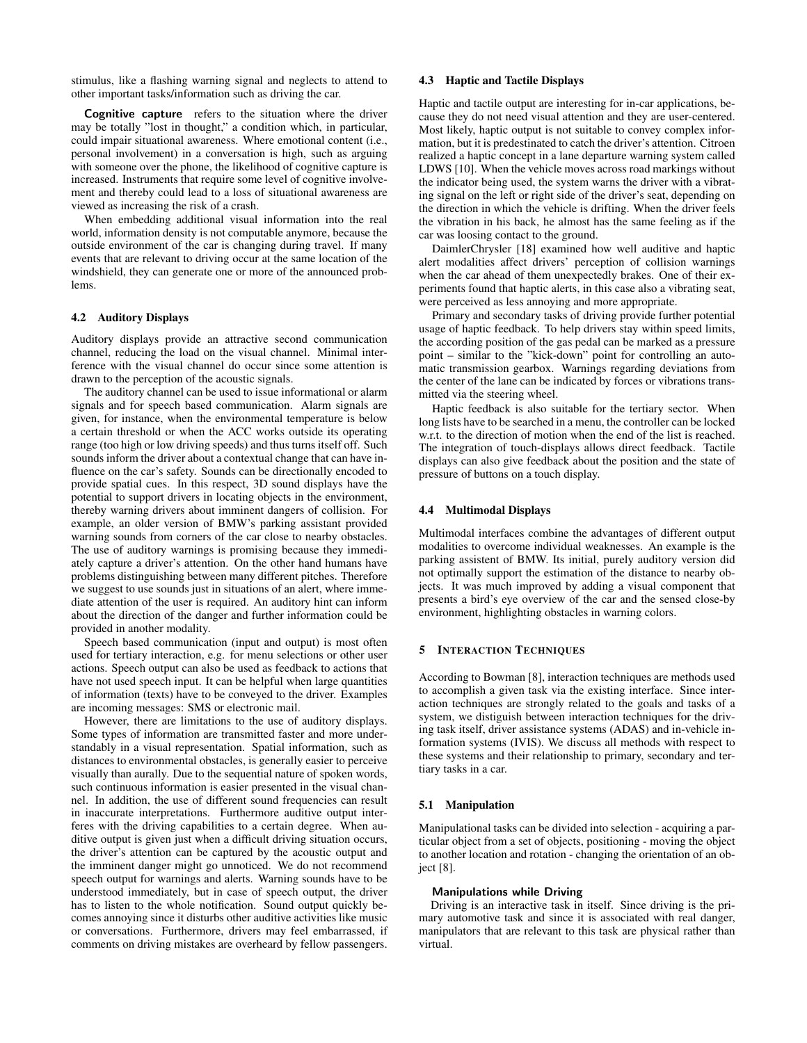stimulus, like a flashing warning signal and neglects to attend to other important tasks/information such as driving the car.

Cognitive capture refers to the situation where the driver may be totally "lost in thought," a condition which, in particular, could impair situational awareness. Where emotional content (i.e., personal involvement) in a conversation is high, such as arguing with someone over the phone, the likelihood of cognitive capture is increased. Instruments that require some level of cognitive involvement and thereby could lead to a loss of situational awareness are viewed as increasing the risk of a crash.

When embedding additional visual information into the real world, information density is not computable anymore, because the outside environment of the car is changing during travel. If many events that are relevant to driving occur at the same location of the windshield, they can generate one or more of the announced problems.

#### 4.2 Auditory Displays

Auditory displays provide an attractive second communication channel, reducing the load on the visual channel. Minimal interference with the visual channel do occur since some attention is drawn to the perception of the acoustic signals.

The auditory channel can be used to issue informational or alarm signals and for speech based communication. Alarm signals are given, for instance, when the environmental temperature is below a certain threshold or when the ACC works outside its operating range (too high or low driving speeds) and thus turns itself off. Such sounds inform the driver about a contextual change that can have influence on the car's safety. Sounds can be directionally encoded to provide spatial cues. In this respect, 3D sound displays have the potential to support drivers in locating objects in the environment, thereby warning drivers about imminent dangers of collision. For example, an older version of BMW's parking assistant provided warning sounds from corners of the car close to nearby obstacles. The use of auditory warnings is promising because they immediately capture a driver's attention. On the other hand humans have problems distinguishing between many different pitches. Therefore we suggest to use sounds just in situations of an alert, where immediate attention of the user is required. An auditory hint can inform about the direction of the danger and further information could be provided in another modality.

Speech based communication (input and output) is most often used for tertiary interaction, e.g. for menu selections or other user actions. Speech output can also be used as feedback to actions that have not used speech input. It can be helpful when large quantities of information (texts) have to be conveyed to the driver. Examples are incoming messages: SMS or electronic mail.

However, there are limitations to the use of auditory displays. Some types of information are transmitted faster and more understandably in a visual representation. Spatial information, such as distances to environmental obstacles, is generally easier to perceive visually than aurally. Due to the sequential nature of spoken words, such continuous information is easier presented in the visual channel. In addition, the use of different sound frequencies can result in inaccurate interpretations. Furthermore auditive output interferes with the driving capabilities to a certain degree. When auditive output is given just when a difficult driving situation occurs, the driver's attention can be captured by the acoustic output and the imminent danger might go unnoticed. We do not recommend speech output for warnings and alerts. Warning sounds have to be understood immediately, but in case of speech output, the driver has to listen to the whole notification. Sound output quickly becomes annoying since it disturbs other auditive activities like music or conversations. Furthermore, drivers may feel embarrassed, if comments on driving mistakes are overheard by fellow passengers.

## 4.3 Haptic and Tactile Displays

Haptic and tactile output are interesting for in-car applications, because they do not need visual attention and they are user-centered. Most likely, haptic output is not suitable to convey complex information, but it is predestinated to catch the driver's attention. Citroen realized a haptic concept in a lane departure warning system called LDWS [10]. When the vehicle moves across road markings without the indicator being used, the system warns the driver with a vibrating signal on the left or right side of the driver's seat, depending on the direction in which the vehicle is drifting. When the driver feels the vibration in his back, he almost has the same feeling as if the car was loosing contact to the ground.

DaimlerChrysler [18] examined how well auditive and haptic alert modalities affect drivers' perception of collision warnings when the car ahead of them unexpectedly brakes. One of their experiments found that haptic alerts, in this case also a vibrating seat, were perceived as less annoying and more appropriate.

Primary and secondary tasks of driving provide further potential usage of haptic feedback. To help drivers stay within speed limits, the according position of the gas pedal can be marked as a pressure point – similar to the "kick-down" point for controlling an automatic transmission gearbox. Warnings regarding deviations from the center of the lane can be indicated by forces or vibrations transmitted via the steering wheel.

Haptic feedback is also suitable for the tertiary sector. When long lists have to be searched in a menu, the controller can be locked w.r.t. to the direction of motion when the end of the list is reached. The integration of touch-displays allows direct feedback. Tactile displays can also give feedback about the position and the state of pressure of buttons on a touch display.

#### 4.4 Multimodal Displays

Multimodal interfaces combine the advantages of different output modalities to overcome individual weaknesses. An example is the parking assistent of BMW. Its initial, purely auditory version did not optimally support the estimation of the distance to nearby objects. It was much improved by adding a visual component that presents a bird's eye overview of the car and the sensed close-by environment, highlighting obstacles in warning colors.

# 5 INTERACTION TECHNIQUES

According to Bowman [8], interaction techniques are methods used to accomplish a given task via the existing interface. Since interaction techniques are strongly related to the goals and tasks of a system, we distiguish between interaction techniques for the driving task itself, driver assistance systems (ADAS) and in-vehicle information systems (IVIS). We discuss all methods with respect to these systems and their relationship to primary, secondary and tertiary tasks in a car.

#### 5.1 Manipulation

Manipulational tasks can be divided into selection - acquiring a particular object from a set of objects, positioning - moving the object to another location and rotation - changing the orientation of an object [8].

#### Manipulations while Driving

Driving is an interactive task in itself. Since driving is the primary automotive task and since it is associated with real danger, manipulators that are relevant to this task are physical rather than virtual.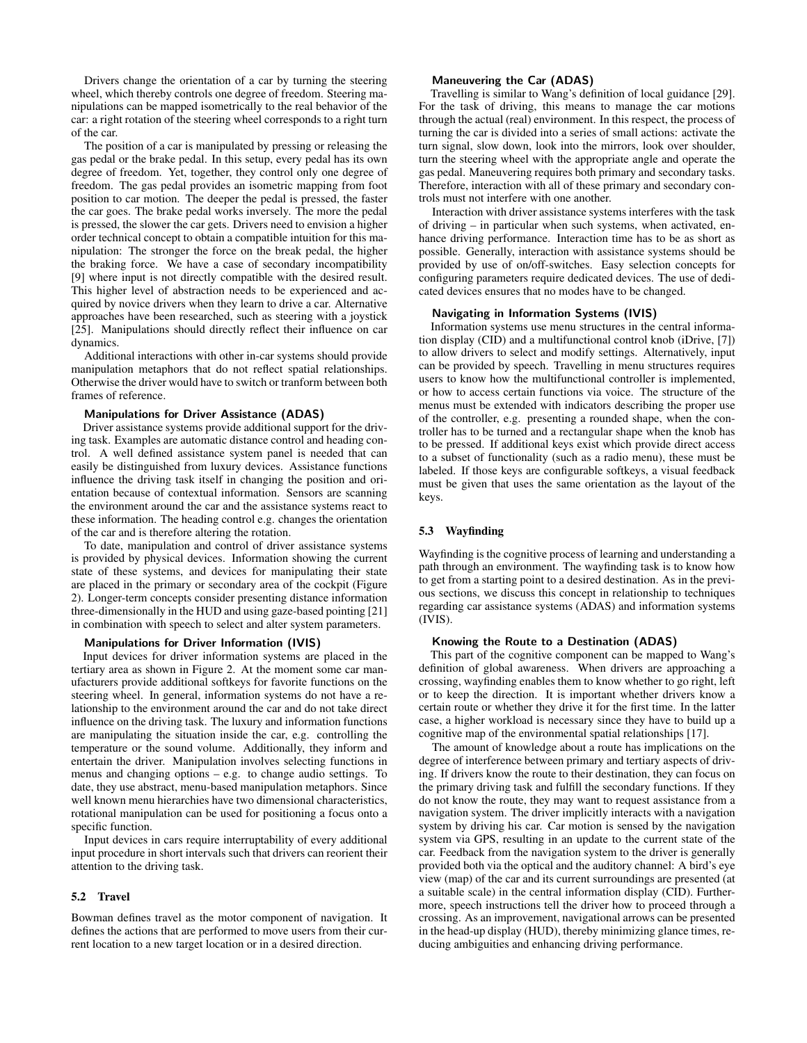Drivers change the orientation of a car by turning the steering wheel, which thereby controls one degree of freedom. Steering manipulations can be mapped isometrically to the real behavior of the car: a right rotation of the steering wheel corresponds to a right turn of the car.

The position of a car is manipulated by pressing or releasing the gas pedal or the brake pedal. In this setup, every pedal has its own degree of freedom. Yet, together, they control only one degree of freedom. The gas pedal provides an isometric mapping from foot position to car motion. The deeper the pedal is pressed, the faster the car goes. The brake pedal works inversely. The more the pedal is pressed, the slower the car gets. Drivers need to envision a higher order technical concept to obtain a compatible intuition for this manipulation: The stronger the force on the break pedal, the higher the braking force. We have a case of secondary incompatibility [9] where input is not directly compatible with the desired result. This higher level of abstraction needs to be experienced and acquired by novice drivers when they learn to drive a car. Alternative approaches have been researched, such as steering with a joystick [25]. Manipulations should directly reflect their influence on car dynamics.

Additional interactions with other in-car systems should provide manipulation metaphors that do not reflect spatial relationships. Otherwise the driver would have to switch or tranform between both frames of reference.

## Manipulations for Driver Assistance (ADAS)

Driver assistance systems provide additional support for the driving task. Examples are automatic distance control and heading control. A well defined assistance system panel is needed that can easily be distinguished from luxury devices. Assistance functions influence the driving task itself in changing the position and orientation because of contextual information. Sensors are scanning the environment around the car and the assistance systems react to these information. The heading control e.g. changes the orientation of the car and is therefore altering the rotation.

To date, manipulation and control of driver assistance systems is provided by physical devices. Information showing the current state of these systems, and devices for manipulating their state are placed in the primary or secondary area of the cockpit (Figure 2). Longer-term concepts consider presenting distance information three-dimensionally in the HUD and using gaze-based pointing [21] in combination with speech to select and alter system parameters.

# Manipulations for Driver Information (IVIS)

Input devices for driver information systems are placed in the tertiary area as shown in Figure 2. At the moment some car manufacturers provide additional softkeys for favorite functions on the steering wheel. In general, information systems do not have a relationship to the environment around the car and do not take direct influence on the driving task. The luxury and information functions are manipulating the situation inside the car, e.g. controlling the temperature or the sound volume. Additionally, they inform and entertain the driver. Manipulation involves selecting functions in menus and changing options – e.g. to change audio settings. To date, they use abstract, menu-based manipulation metaphors. Since well known menu hierarchies have two dimensional characteristics, rotational manipulation can be used for positioning a focus onto a specific function.

Input devices in cars require interruptability of every additional input procedure in short intervals such that drivers can reorient their attention to the driving task.

# 5.2 Travel

Bowman defines travel as the motor component of navigation. It defines the actions that are performed to move users from their current location to a new target location or in a desired direction.

# Maneuvering the Car (ADAS)

Travelling is similar to Wang's definition of local guidance [29]. For the task of driving, this means to manage the car motions through the actual (real) environment. In this respect, the process of turning the car is divided into a series of small actions: activate the turn signal, slow down, look into the mirrors, look over shoulder, turn the steering wheel with the appropriate angle and operate the gas pedal. Maneuvering requires both primary and secondary tasks. Therefore, interaction with all of these primary and secondary controls must not interfere with one another.

Interaction with driver assistance systems interferes with the task of driving – in particular when such systems, when activated, enhance driving performance. Interaction time has to be as short as possible. Generally, interaction with assistance systems should be provided by use of on/off-switches. Easy selection concepts for configuring parameters require dedicated devices. The use of dedicated devices ensures that no modes have to be changed.

#### Navigating in Information Systems (IVIS)

Information systems use menu structures in the central information display (CID) and a multifunctional control knob (iDrive, [7]) to allow drivers to select and modify settings. Alternatively, input can be provided by speech. Travelling in menu structures requires users to know how the multifunctional controller is implemented, or how to access certain functions via voice. The structure of the menus must be extended with indicators describing the proper use of the controller, e.g. presenting a rounded shape, when the controller has to be turned and a rectangular shape when the knob has to be pressed. If additional keys exist which provide direct access to a subset of functionality (such as a radio menu), these must be labeled. If those keys are configurable softkeys, a visual feedback must be given that uses the same orientation as the layout of the keys.

#### 5.3 Wayfinding

Wayfinding is the cognitive process of learning and understanding a path through an environment. The wayfinding task is to know how to get from a starting point to a desired destination. As in the previous sections, we discuss this concept in relationship to techniques regarding car assistance systems (ADAS) and information systems (IVIS).

# Knowing the Route to a Destination (ADAS)

This part of the cognitive component can be mapped to Wang's definition of global awareness. When drivers are approaching a crossing, wayfinding enables them to know whether to go right, left or to keep the direction. It is important whether drivers know a certain route or whether they drive it for the first time. In the latter case, a higher workload is necessary since they have to build up a cognitive map of the environmental spatial relationships [17].

The amount of knowledge about a route has implications on the degree of interference between primary and tertiary aspects of driving. If drivers know the route to their destination, they can focus on the primary driving task and fulfill the secondary functions. If they do not know the route, they may want to request assistance from a navigation system. The driver implicitly interacts with a navigation system by driving his car. Car motion is sensed by the navigation system via GPS, resulting in an update to the current state of the car. Feedback from the navigation system to the driver is generally provided both via the optical and the auditory channel: A bird's eye view (map) of the car and its current surroundings are presented (at a suitable scale) in the central information display (CID). Furthermore, speech instructions tell the driver how to proceed through a crossing. As an improvement, navigational arrows can be presented in the head-up display (HUD), thereby minimizing glance times, reducing ambiguities and enhancing driving performance.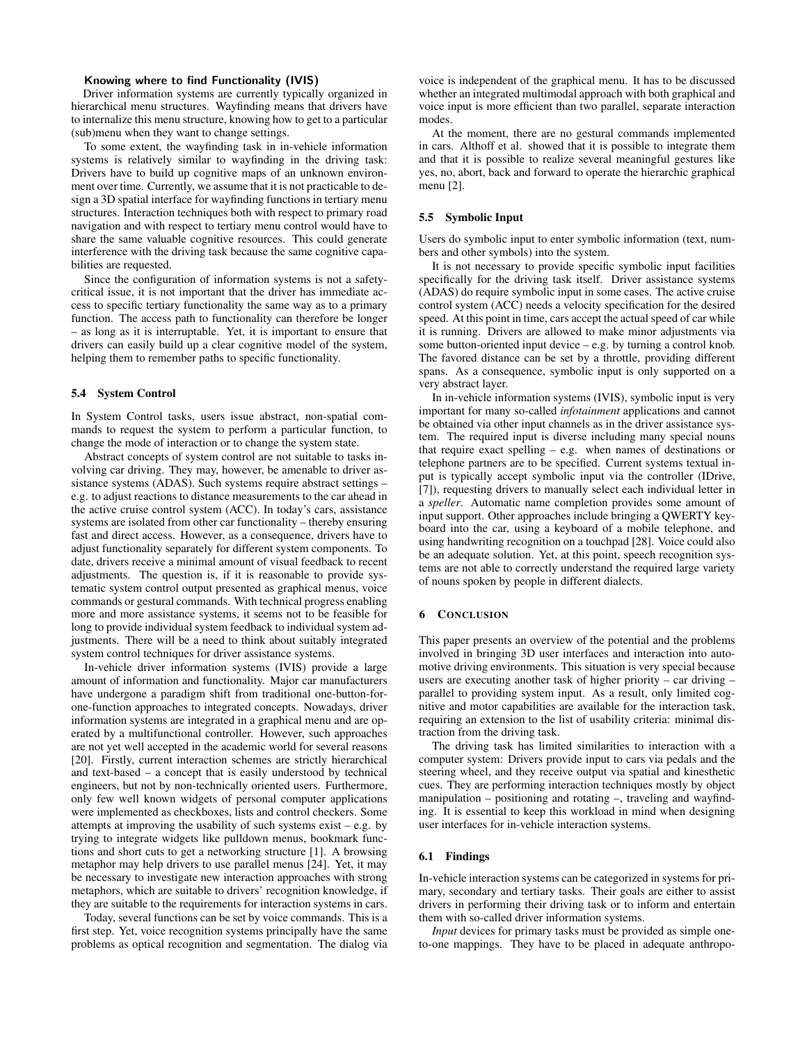# Knowing where to find Functionality (IVIS)

Driver information systems are currently typically organized in hierarchical menu structures. Wayfinding means that drivers have to internalize this menu structure, knowing how to get to a particular (sub)menu when they want to change settings.

To some extent, the wayfinding task in in-vehicle information systems is relatively similar to wayfinding in the driving task: Drivers have to build up cognitive maps of an unknown environment over time. Currently, we assume that it is not practicable to design a 3D spatial interface for wayfinding functions in tertiary menu structures. Interaction techniques both with respect to primary road navigation and with respect to tertiary menu control would have to share the same valuable cognitive resources. This could generate interference with the driving task because the same cognitive capabilities are requested.

Since the configuration of information systems is not a safetycritical issue, it is not important that the driver has immediate access to specific tertiary functionality the same way as to a primary function. The access path to functionality can therefore be longer – as long as it is interruptable. Yet, it is important to ensure that drivers can easily build up a clear cognitive model of the system, helping them to remember paths to specific functionality.

## 5.4 System Control

In System Control tasks, users issue abstract, non-spatial commands to request the system to perform a particular function, to change the mode of interaction or to change the system state.

Abstract concepts of system control are not suitable to tasks involving car driving. They may, however, be amenable to driver assistance systems (ADAS). Such systems require abstract settings – e.g. to adjust reactions to distance measurements to the car ahead in the active cruise control system (ACC). In today's cars, assistance systems are isolated from other car functionality – thereby ensuring fast and direct access. However, as a consequence, drivers have to adjust functionality separately for different system components. To date, drivers receive a minimal amount of visual feedback to recent adjustments. The question is, if it is reasonable to provide systematic system control output presented as graphical menus, voice commands or gestural commands. With technical progress enabling more and more assistance systems, it seems not to be feasible for long to provide individual system feedback to individual system adjustments. There will be a need to think about suitably integrated system control techniques for driver assistance systems.

In-vehicle driver information systems (IVIS) provide a large amount of information and functionality. Major car manufacturers have undergone a paradigm shift from traditional one-button-forone-function approaches to integrated concepts. Nowadays, driver information systems are integrated in a graphical menu and are operated by a multifunctional controller. However, such approaches are not yet well accepted in the academic world for several reasons [20]. Firstly, current interaction schemes are strictly hierarchical and text-based – a concept that is easily understood by technical engineers, but not by non-technically oriented users. Furthermore, only few well known widgets of personal computer applications were implemented as checkboxes, lists and control checkers. Some attempts at improving the usability of such systems exist – e.g. by trying to integrate widgets like pulldown menus, bookmark functions and short cuts to get a networking structure [1]. A browsing metaphor may help drivers to use parallel menus [24]. Yet, it may be necessary to investigate new interaction approaches with strong metaphors, which are suitable to drivers' recognition knowledge, if they are suitable to the requirements for interaction systems in cars.

Today, several functions can be set by voice commands. This is a first step. Yet, voice recognition systems principally have the same problems as optical recognition and segmentation. The dialog via

voice is independent of the graphical menu. It has to be discussed whether an integrated multimodal approach with both graphical and voice input is more efficient than two parallel, separate interaction modes.

At the moment, there are no gestural commands implemented in cars. Althoff et al. showed that it is possible to integrate them and that it is possible to realize several meaningful gestures like yes, no, abort, back and forward to operate the hierarchic graphical menu [2].

#### 5.5 Symbolic Input

Users do symbolic input to enter symbolic information (text, numbers and other symbols) into the system.

It is not necessary to provide specific symbolic input facilities specifically for the driving task itself. Driver assistance systems (ADAS) do require symbolic input in some cases. The active cruise control system (ACC) needs a velocity specification for the desired speed. At this point in time, cars accept the actual speed of car while it is running. Drivers are allowed to make minor adjustments via some button-oriented input device – e.g. by turning a control knob. The favored distance can be set by a throttle, providing different spans. As a consequence, symbolic input is only supported on a very abstract layer.

In in-vehicle information systems (IVIS), symbolic input is very important for many so-called *infotainment* applications and cannot be obtained via other input channels as in the driver assistance system. The required input is diverse including many special nouns that require exact spelling – e.g. when names of destinations or telephone partners are to be specified. Current systems textual input is typically accept symbolic input via the controller (IDrive, [7]), requesting drivers to manually select each individual letter in a *speller*. Automatic name completion provides some amount of input support. Other approaches include bringing a QWERTY keyboard into the car, using a keyboard of a mobile telephone, and using handwriting recognition on a touchpad [28]. Voice could also be an adequate solution. Yet, at this point, speech recognition systems are not able to correctly understand the required large variety of nouns spoken by people in different dialects.

#### 6 CONCLUSION

This paper presents an overview of the potential and the problems involved in bringing 3D user interfaces and interaction into automotive driving environments. This situation is very special because users are executing another task of higher priority – car driving – parallel to providing system input. As a result, only limited cognitive and motor capabilities are available for the interaction task, requiring an extension to the list of usability criteria: minimal distraction from the driving task.

The driving task has limited similarities to interaction with a computer system: Drivers provide input to cars via pedals and the steering wheel, and they receive output via spatial and kinesthetic cues. They are performing interaction techniques mostly by object manipulation – positioning and rotating –, traveling and wayfinding. It is essential to keep this workload in mind when designing user interfaces for in-vehicle interaction systems.

## 6.1 Findings

In-vehicle interaction systems can be categorized in systems for primary, secondary and tertiary tasks. Their goals are either to assist drivers in performing their driving task or to inform and entertain them with so-called driver information systems.

*Input* devices for primary tasks must be provided as simple oneto-one mappings. They have to be placed in adequate anthropo